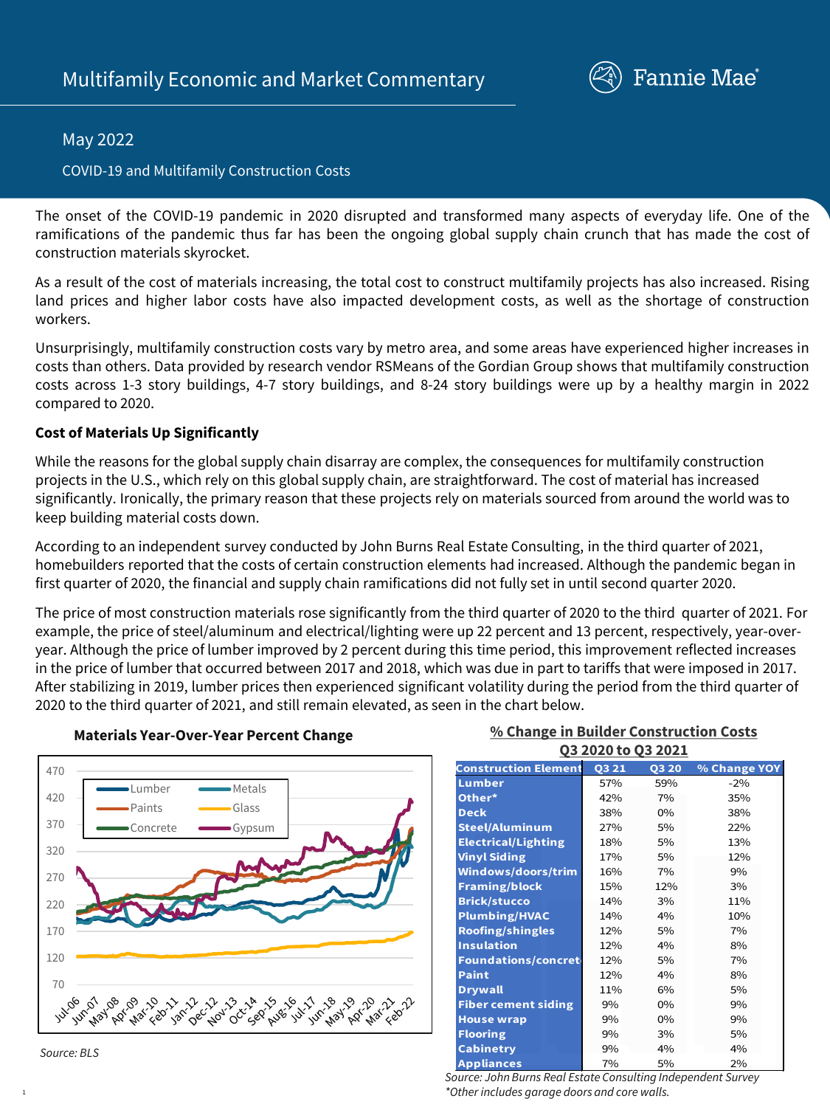

## May 2022

#### COVID-19 and Multifamily Construction Costs

The onset of the COVID-19 pandemic in 2020 disrupted and transformed many aspects of everyday life. One of the ramifications of the pandemic thus far has been the ongoing global supply chain crunch that has made the cost of construction materials skyrocket.

As a result of the cost of materials increasing, the total cost to construct multifamily projects has also increased. Rising land prices and higher labor costs have also impacted development costs, as well as the shortage of construction workers.

Unsurprisingly, multifamily construction costs vary by metro area, and some areas have experienced higher increases in costs than others. Data provided by research vendor RSMeans of the Gordian Group shows that multifamily construction costs across 1-3 story buildings, 4-7 story buildings, and 8-24 story buildings were up by a healthy margin in 2022 compared to 2020.

#### **Cost of Materials Up Significantly**

While the reasons for the global supply chain disarray are complex, the consequences for multifamily construction projects in the U.S., which rely on this global supply chain, are straightforward. The cost of material has increased significantly. Ironically, the primary reason that these projects rely on materials sourced from around the world was to keep building material costs down.

According to an independent survey conducted by John Burns Real Estate Consulting, in the third quarter of 2021, homebuilders reported that the costs of certain construction elements had increased. Although the pandemic began in first quarter of 2020, the financial and supply chain ramifications did not fully set in until second quarter 2020.

The price of most construction materials rose significantly from the third quarter of 2020 to the third quarter of 2021. For example, the price of steel/aluminum and electrical/lighting were up 22 percent and 13 percent, respectively, year-overyear. Although the price of lumber improved by 2 percent during this time period, this improvement reflected increases in the price of lumber that occurred between 2017 and 2018, which was due in part to tariffs that were imposed in 2017. After stabilizing in 2019, lumber prices then experienced significant volatility during the period from the third quarter of 2020 to the third quarter of 2021, and still remain elevated, as seen in the chart below.



# **Materials Year-Over-Year Percent Change**

#### **% Change in Builder Construction Costs Q3 2020 to Q3 2021**

| <b>Construction Element</b> | Q3 21 | <b>Q3 20</b> | % Change YOY |
|-----------------------------|-------|--------------|--------------|
| Lumber                      | 57%   | 59%          | $-2%$        |
| Other*                      | 42%   | 7%           | 35%          |
| <b>Deck</b>                 | 38%   | $0\%$        | 38%          |
| <b>Steel/Aluminum</b>       | 27%   | 5%           | 22%          |
| <b>Electrical/Lighting</b>  | 18%   | 5%           | 13%          |
| <b>Vinyl Siding</b>         | 17%   | 5%           | 12%          |
| <b>Windows/doors/trim</b>   | 16%   | 7%           | 9%           |
| <b>Framing/block</b>        | 15%   | 12%          | 3%           |
| <b>Brick/stucco</b>         | 14%   | 3%           | 11%          |
| <b>Plumbing/HVAC</b>        | 14%   | 4%           | 10%          |
| <b>Roofing/shingles</b>     | 12%   | 5%           | 7%           |
| <b>Insulation</b>           | 12%   | 4%           | 8%           |
| <b>Foundations/concret</b>  | 12%   | 5%           | 7%           |
| Paint                       | 12%   | 4%           | 8%           |
| <b>Drywall</b>              | 11%   | 6%           | 5%           |
| <b>Fiber cement siding</b>  | 9%    | $0\%$        | 9%           |
| <b>House wrap</b>           | 9%    | $0\%$        | 9%           |
| <b>Flooring</b>             | 9%    | 3%           | 5%           |
| <b>Cabinetry</b>            | 9%    | 4%           | 4%           |
| <b>Appliances</b>           | 7%    | 5%           | 2%           |

*Source: John Burns Real Estate Consulting Independent Survey \*Other includes garage doors and core walls.* 



1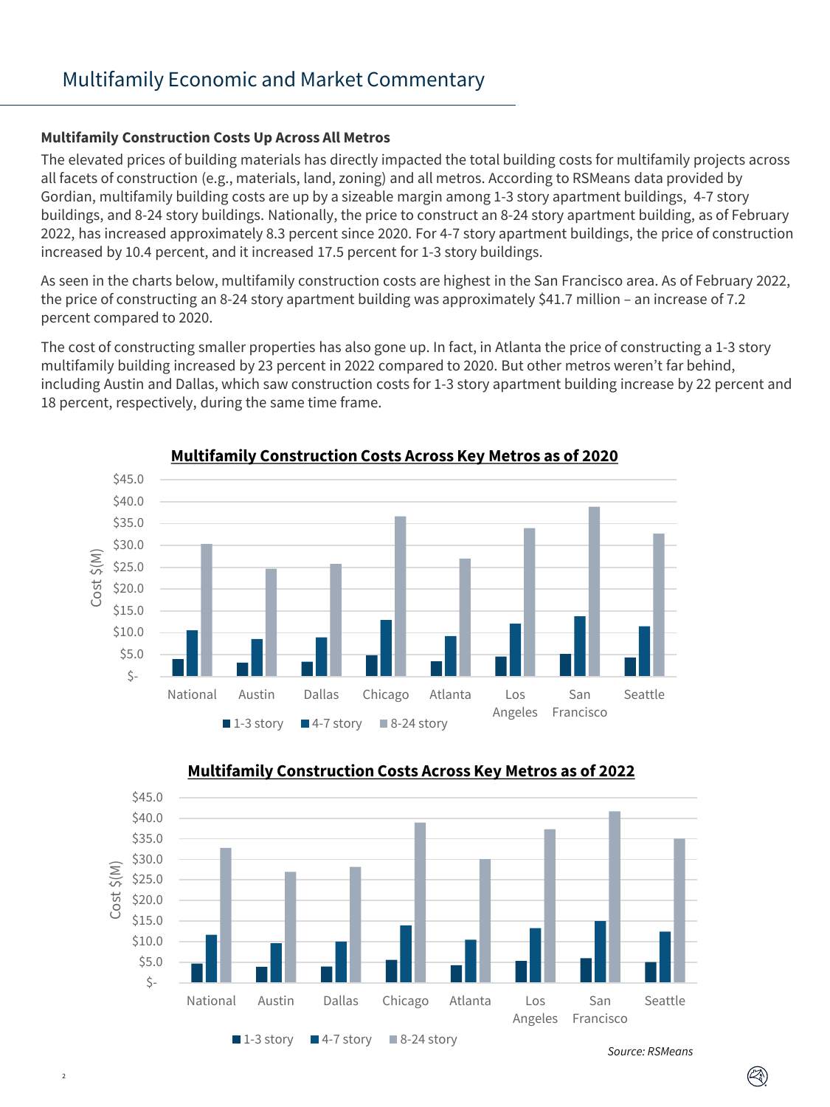### **Multifamily Construction Costs Up Across All Metros**

 $\overline{2}$ 

The elevated prices of building materials has directly impacted the total building costs for multifamily projects across all facets of construction (e.g., materials, land, zoning) and all metros. According to RSMeans data provided by Gordian, multifamily building costs are up by a sizeable margin among 1-3 story apartment buildings, 4-7 story buildings, and 8-24 story buildings. Nationally, the price to construct an 8-24 story apartment building, as of February 2022, has increased approximately 8.3 percent since 2020. For 4-7 story apartment buildings, the price of construction increased by 10.4 percent, and it increased 17.5 percent for 1-3 story buildings.

As seen in the charts below, multifamily construction costs are highest in the San Francisco area. As of February 2022, the price of constructing an 8-24 story apartment building was approximately \$41.7 million – an increase of 7.2 percent compared to 2020.

The cost of constructing smaller properties has also gone up. In fact, in Atlanta the price of constructing a 1-3 story multifamily building increased by 23 percent in 2022 compared to 2020. But other metros weren't far behind, including Austin and Dallas, which saw construction costs for 1-3 story apartment building increase by 22 percent and 18 percent, respectively, during the same time frame.





# **Multifamily Construction Costs Across Key Metros as of 2022**

*Source: RSMeans*

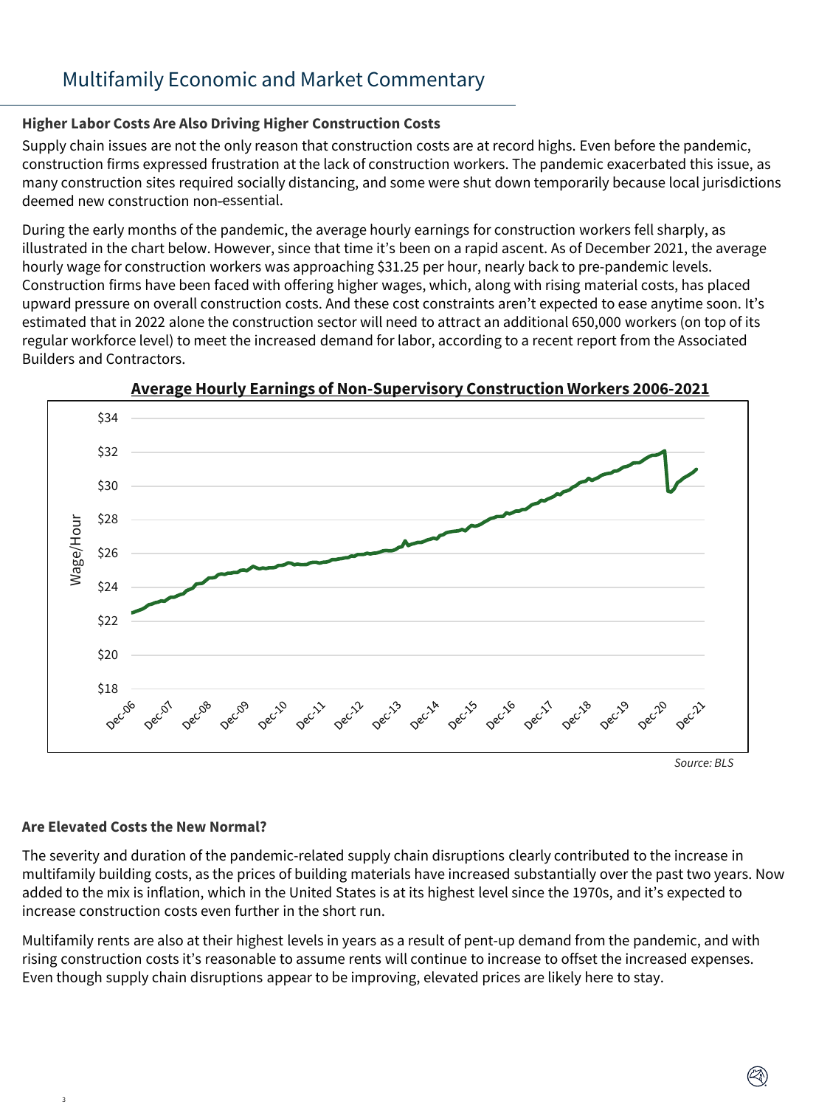# Multifamily Economic and Market Commentary

### **Higher Labor Costs Are Also Driving Higher Construction Costs**

Supply chain issues are not the only reason that construction costs are at record highs. Even before the pandemic, construction firms expressed frustration at the lack of construction workers. The pandemic exacerbated this issue, as many construction sites required socially distancing, and some were shut down temporarily because local jurisdictions deemed new construction non-essential.

During the early months of the pandemic, the average hourly earnings for construction workers fell sharply, as illustrated in the chart below. However, since that time it's been on a rapid ascent. As of December 2021, the average hourly wage for construction workers was approaching \$31.25 per hour, nearly back to pre-pandemic levels. Construction firms have been faced with offering higher wages, which, along with rising material costs, has placed upward pressure on overall construction costs. And these cost constraints aren't expected to ease anytime soon. It's estimated that in 2022 alone the construction sector will need to attract an additional 650,000 workers (on top of its regular workforce level) to meet the increased demand for labor, according to a recent report from the Associated Builders and Contractors.



**Average Hourly Earnings of Non-Supervisory Construction Workers 2006-2021**

#### **Are Elevated Costs the New Normal?**

3

The severity and duration of the pandemic-related supply chain disruptions clearly contributed to the increase in multifamily building costs, as the prices of building materials have increased substantially over the past two years. Now added to the mix is inflation, which in the United States is at its highest level since the 1970s, and it's expected to increase construction costs even further in the short run.

Multifamily rents are also at their highest levels in years as a result of pent-up demand from the pandemic, and with rising construction costs it's reasonable to assume rents will continue to increase to offset the increased expenses. Even though supply chain disruptions appear to be improving, elevated prices are likely here to stay.